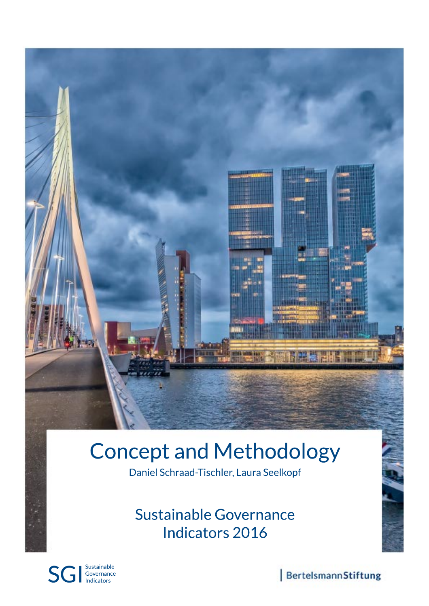

# **Concept and Methodology**

Daniel Schraad-Tischler, Laura Seelkopf

Sustainable Governance Indicators 2016



BertelsmannStiftung

**EXAMPLE**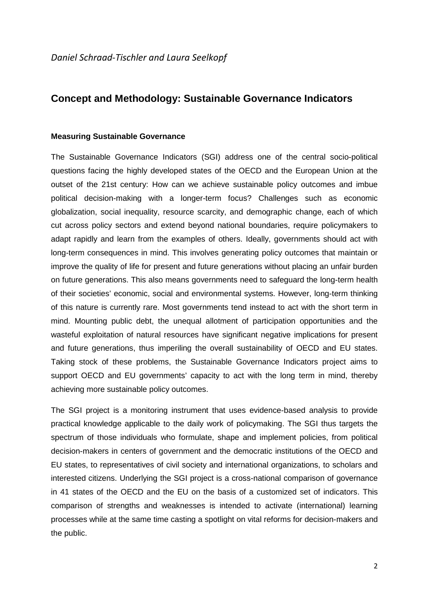## **Concept and Methodology: Sustainable Governance Indicators**

#### **Measuring Sustainable Governance**

The Sustainable Governance Indicators (SGI) address one of the central socio-political questions facing the highly developed states of the OECD and the European Union at the outset of the 21st century: How can we achieve sustainable policy outcomes and imbue political decision-making with a longer-term focus? Challenges such as economic globalization, social inequality, resource scarcity, and demographic change, each of which cut across policy sectors and extend beyond national boundaries, require policymakers to adapt rapidly and learn from the examples of others. Ideally, governments should act with long-term consequences in mind. This involves generating policy outcomes that maintain or improve the quality of life for present and future generations without placing an unfair burden on future generations. This also means governments need to safeguard the long-term health of their societies' economic, social and environmental systems. However, long-term thinking of this nature is currently rare. Most governments tend instead to act with the short term in mind. Mounting public debt, the unequal allotment of participation opportunities and the wasteful exploitation of natural resources have significant negative implications for present and future generations, thus imperiling the overall sustainability of OECD and EU states. Taking stock of these problems, the Sustainable Governance Indicators project aims to support OECD and EU governments' capacity to act with the long term in mind, thereby achieving more sustainable policy outcomes.

The SGI project is a monitoring instrument that uses evidence-based analysis to provide practical knowledge applicable to the daily work of policymaking. The SGI thus targets the spectrum of those individuals who formulate, shape and implement policies, from political decision-makers in centers of government and the democratic institutions of the OECD and EU states, to representatives of civil society and international organizations, to scholars and interested citizens. Underlying the SGI project is a cross-national comparison of governance in 41 states of the OECD and the EU on the basis of a customized set of indicators. This comparison of strengths and weaknesses is intended to activate (international) learning processes while at the same time casting a spotlight on vital reforms for decision-makers and the public.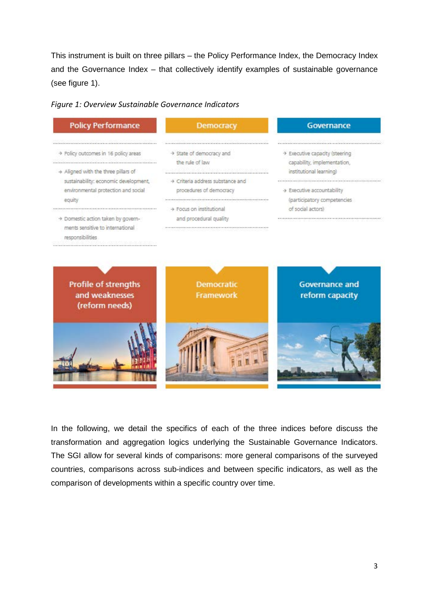This instrument is built on three pillars – the Policy Performance Index, the Democracy Index and the Governance Index – that collectively identify examples of sustainable governance (see figure 1).





In the following, we detail the specifics of each of the three indices before discuss the transformation and aggregation logics underlying the Sustainable Governance Indicators. The SGI allow for several kinds of comparisons: more general comparisons of the surveyed countries, comparisons across sub-indices and between specific indicators, as well as the comparison of developments within a specific country over time.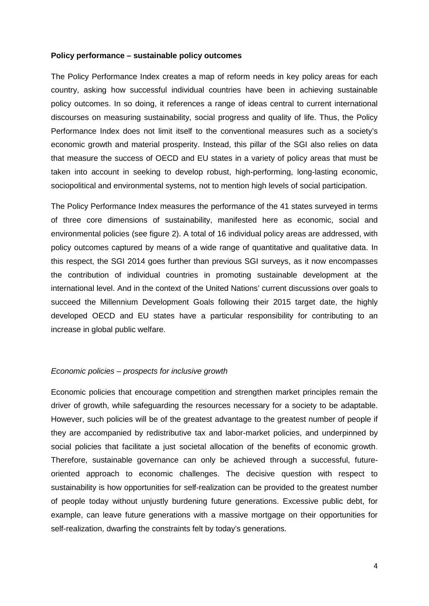#### **Policy performance – sustainable policy outcomes**

The Policy Performance Index creates a map of reform needs in key policy areas for each country, asking how successful individual countries have been in achieving sustainable policy outcomes. In so doing, it references a range of ideas central to current international discourses on measuring sustainability, social progress and quality of life. Thus, the Policy Performance Index does not limit itself to the conventional measures such as a society's economic growth and material prosperity. Instead, this pillar of the SGI also relies on data that measure the success of OECD and EU states in a variety of policy areas that must be taken into account in seeking to develop robust, high-performing, long-lasting economic, sociopolitical and environmental systems, not to mention high levels of social participation.

The Policy Performance Index measures the performance of the 41 states surveyed in terms of three core dimensions of sustainability, manifested here as economic, social and environmental policies (see figure 2). A total of 16 individual policy areas are addressed, with policy outcomes captured by means of a wide range of quantitative and qualitative data. In this respect, the SGI 2014 goes further than previous SGI surveys, as it now encompasses the contribution of individual countries in promoting sustainable development at the international level. And in the context of the United Nations' current discussions over goals to succeed the Millennium Development Goals following their 2015 target date, the highly developed OECD and EU states have a particular responsibility for contributing to an increase in global public welfare.

#### *Economic policies – prospects for inclusive growth*

Economic policies that encourage competition and strengthen market principles remain the driver of growth, while safeguarding the resources necessary for a society to be adaptable. However, such policies will be of the greatest advantage to the greatest number of people if they are accompanied by redistributive tax and labor-market policies, and underpinned by social policies that facilitate a just societal allocation of the benefits of economic growth. Therefore, sustainable governance can only be achieved through a successful, futureoriented approach to economic challenges. The decisive question with respect to sustainability is how opportunities for self-realization can be provided to the greatest number of people today without unjustly burdening future generations. Excessive public debt, for example, can leave future generations with a massive mortgage on their opportunities for self-realization, dwarfing the constraints felt by today's generations.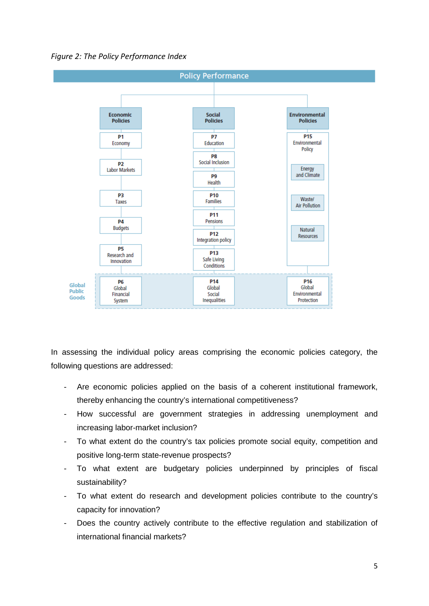*Figure 2: The Policy Performance Index*



In assessing the individual policy areas comprising the economic policies category, the following questions are addressed:

- Are economic policies applied on the basis of a coherent institutional framework, thereby enhancing the country's international competitiveness?
- How successful are government strategies in addressing unemployment and increasing labor-market inclusion?
- To what extent do the country's tax policies promote social equity, competition and positive long-term state-revenue prospects?
- To what extent are budgetary policies underpinned by principles of fiscal sustainability?
- To what extent do research and development policies contribute to the country's capacity for innovation?
- Does the country actively contribute to the effective regulation and stabilization of international financial markets?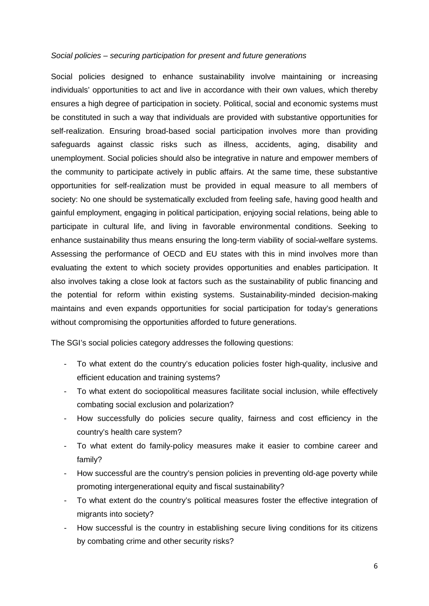#### *Social policies – securing participation for present and future generations*

Social policies designed to enhance sustainability involve maintaining or increasing individuals' opportunities to act and live in accordance with their own values, which thereby ensures a high degree of participation in society. Political, social and economic systems must be constituted in such a way that individuals are provided with substantive opportunities for self-realization. Ensuring broad-based social participation involves more than providing safeguards against classic risks such as illness, accidents, aging, disability and unemployment. Social policies should also be integrative in nature and empower members of the community to participate actively in public affairs. At the same time, these substantive opportunities for self-realization must be provided in equal measure to all members of society: No one should be systematically excluded from feeling safe, having good health and gainful employment, engaging in political participation, enjoying social relations, being able to participate in cultural life, and living in favorable environmental conditions. Seeking to enhance sustainability thus means ensuring the long-term viability of social-welfare systems. Assessing the performance of OECD and EU states with this in mind involves more than evaluating the extent to which society provides opportunities and enables participation. It also involves taking a close look at factors such as the sustainability of public financing and the potential for reform within existing systems. Sustainability-minded decision-making maintains and even expands opportunities for social participation for today's generations without compromising the opportunities afforded to future generations.

The SGI's social policies category addresses the following questions:

- To what extent do the country's education policies foster high-quality, inclusive and efficient education and training systems?
- To what extent do sociopolitical measures facilitate social inclusion, while effectively combating social exclusion and polarization?
- How successfully do policies secure quality, fairness and cost efficiency in the country's health care system?
- To what extent do family-policy measures make it easier to combine career and family?
- How successful are the country's pension policies in preventing old-age poverty while promoting intergenerational equity and fiscal sustainability?
- To what extent do the country's political measures foster the effective integration of migrants into society?
- How successful is the country in establishing secure living conditions for its citizens by combating crime and other security risks?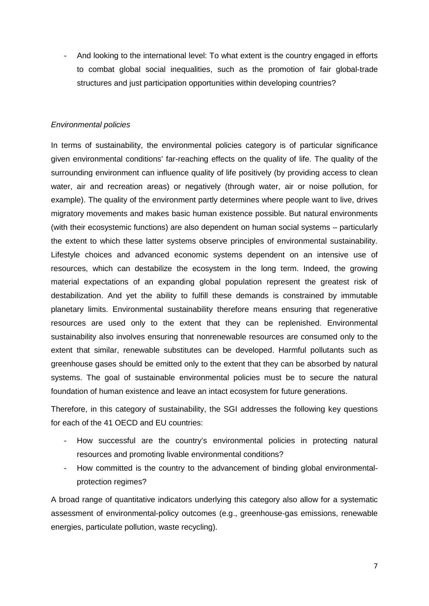- And looking to the international level: To what extent is the country engaged in efforts to combat global social inequalities, such as the promotion of fair global-trade structures and just participation opportunities within developing countries?

## *Environmental policies*

In terms of sustainability, the environmental policies category is of particular significance given environmental conditions' far-reaching effects on the quality of life. The quality of the surrounding environment can influence quality of life positively (by providing access to clean water, air and recreation areas) or negatively (through water, air or noise pollution, for example). The quality of the environment partly determines where people want to live, drives migratory movements and makes basic human existence possible. But natural environments (with their ecosystemic functions) are also dependent on human social systems – particularly the extent to which these latter systems observe principles of environmental sustainability. Lifestyle choices and advanced economic systems dependent on an intensive use of resources, which can destabilize the ecosystem in the long term. Indeed, the growing material expectations of an expanding global population represent the greatest risk of destabilization. And yet the ability to fulfill these demands is constrained by immutable planetary limits. Environmental sustainability therefore means ensuring that regenerative resources are used only to the extent that they can be replenished. Environmental sustainability also involves ensuring that nonrenewable resources are consumed only to the extent that similar, renewable substitutes can be developed. Harmful pollutants such as greenhouse gases should be emitted only to the extent that they can be absorbed by natural systems. The goal of sustainable environmental policies must be to secure the natural foundation of human existence and leave an intact ecosystem for future generations.

Therefore, in this category of sustainability, the SGI addresses the following key questions for each of the 41 OECD and EU countries:

- How successful are the country's environmental policies in protecting natural resources and promoting livable environmental conditions?
- How committed is the country to the advancement of binding global environmentalprotection regimes?

A broad range of quantitative indicators underlying this category also allow for a systematic assessment of environmental-policy outcomes (e.g., greenhouse-gas emissions, renewable energies, particulate pollution, waste recycling).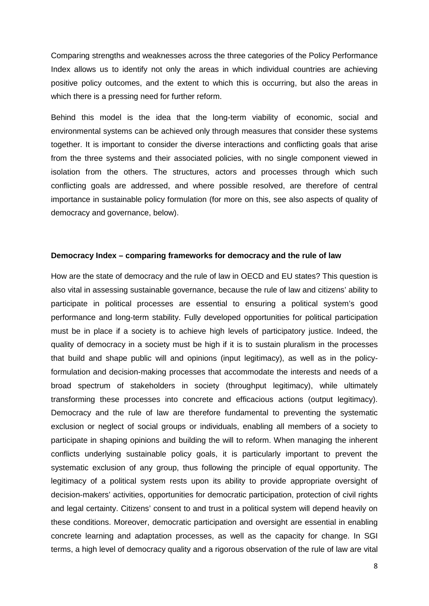Comparing strengths and weaknesses across the three categories of the Policy Performance Index allows us to identify not only the areas in which individual countries are achieving positive policy outcomes, and the extent to which this is occurring, but also the areas in which there is a pressing need for further reform.

Behind this model is the idea that the long-term viability of economic, social and environmental systems can be achieved only through measures that consider these systems together. It is important to consider the diverse interactions and conflicting goals that arise from the three systems and their associated policies, with no single component viewed in isolation from the others. The structures, actors and processes through which such conflicting goals are addressed, and where possible resolved, are therefore of central importance in sustainable policy formulation (for more on this, see also aspects of quality of democracy and governance, below).

## **Democracy Index – comparing frameworks for democracy and the rule of law**

How are the state of democracy and the rule of law in OECD and EU states? This question is also vital in assessing sustainable governance, because the rule of law and citizens' ability to participate in political processes are essential to ensuring a political system's good performance and long-term stability. Fully developed opportunities for political participation must be in place if a society is to achieve high levels of participatory justice. Indeed, the quality of democracy in a society must be high if it is to sustain pluralism in the processes that build and shape public will and opinions (input legitimacy), as well as in the policyformulation and decision-making processes that accommodate the interests and needs of a broad spectrum of stakeholders in society (throughput legitimacy), while ultimately transforming these processes into concrete and efficacious actions (output legitimacy). Democracy and the rule of law are therefore fundamental to preventing the systematic exclusion or neglect of social groups or individuals, enabling all members of a society to participate in shaping opinions and building the will to reform. When managing the inherent conflicts underlying sustainable policy goals, it is particularly important to prevent the systematic exclusion of any group, thus following the principle of equal opportunity. The legitimacy of a political system rests upon its ability to provide appropriate oversight of decision-makers' activities, opportunities for democratic participation, protection of civil rights and legal certainty. Citizens' consent to and trust in a political system will depend heavily on these conditions. Moreover, democratic participation and oversight are essential in enabling concrete learning and adaptation processes, as well as the capacity for change. In SGI terms, a high level of democracy quality and a rigorous observation of the rule of law are vital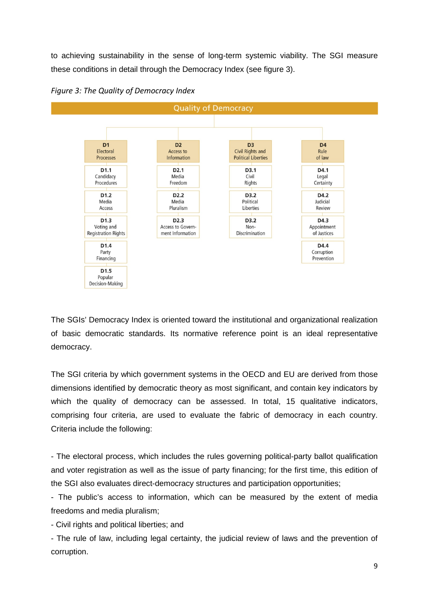to achieving sustainability in the sense of long-term systemic viability. The SGI measure these conditions in detail through the Democracy Index (see figure 3).



*Figure 3: The Quality of Democracy Index*

The SGIs' Democracy Index is oriented toward the institutional and organizational realization of basic democratic standards. Its normative reference point is an ideal representative democracy.

The SGI criteria by which government systems in the OECD and EU are derived from those dimensions identified by democratic theory as most significant, and contain key indicators by which the quality of democracy can be assessed. In total, 15 qualitative indicators, comprising four criteria, are used to evaluate the fabric of democracy in each country. Criteria include the following:

- The electoral process, which includes the rules governing political-party ballot qualification and voter registration as well as the issue of party financing; for the first time, this edition of the SGI also evaluates direct-democracy structures and participation opportunities;

- The public's access to information, which can be measured by the extent of media freedoms and media pluralism;

- Civil rights and political liberties; and

- The rule of law, including legal certainty, the judicial review of laws and the prevention of corruption.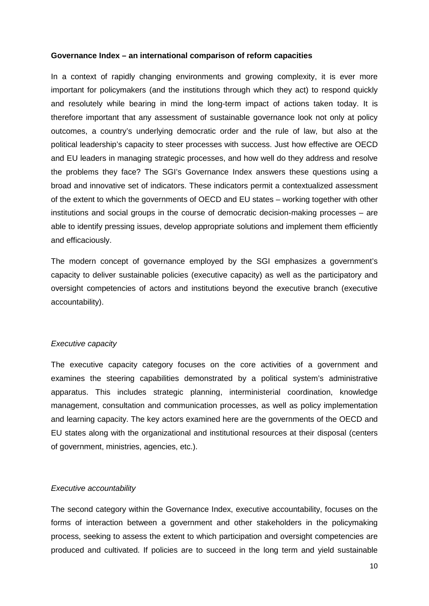#### **Governance Index – an international comparison of reform capacities**

In a context of rapidly changing environments and growing complexity, it is ever more important for policymakers (and the institutions through which they act) to respond quickly and resolutely while bearing in mind the long-term impact of actions taken today. It is therefore important that any assessment of sustainable governance look not only at policy outcomes, a country's underlying democratic order and the rule of law, but also at the political leadership's capacity to steer processes with success. Just how effective are OECD and EU leaders in managing strategic processes, and how well do they address and resolve the problems they face? The SGI's Governance Index answers these questions using a broad and innovative set of indicators. These indicators permit a contextualized assessment of the extent to which the governments of OECD and EU states – working together with other institutions and social groups in the course of democratic decision-making processes – are able to identify pressing issues, develop appropriate solutions and implement them efficiently and efficaciously.

The modern concept of governance employed by the SGI emphasizes a government's capacity to deliver sustainable policies (executive capacity) as well as the participatory and oversight competencies of actors and institutions beyond the executive branch (executive accountability).

## *Executive capacity*

The executive capacity category focuses on the core activities of a government and examines the steering capabilities demonstrated by a political system's administrative apparatus. This includes strategic planning, interministerial coordination, knowledge management, consultation and communication processes, as well as policy implementation and learning capacity. The key actors examined here are the governments of the OECD and EU states along with the organizational and institutional resources at their disposal (centers of government, ministries, agencies, etc.).

#### *Executive accountability*

The second category within the Governance Index, executive accountability, focuses on the forms of interaction between a government and other stakeholders in the policymaking process, seeking to assess the extent to which participation and oversight competencies are produced and cultivated. If policies are to succeed in the long term and yield sustainable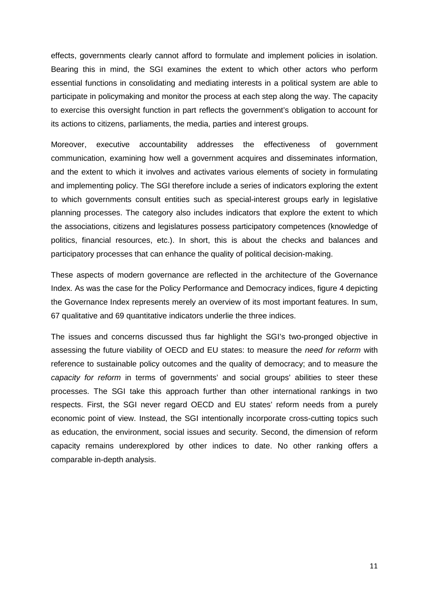effects, governments clearly cannot afford to formulate and implement policies in isolation. Bearing this in mind, the SGI examines the extent to which other actors who perform essential functions in consolidating and mediating interests in a political system are able to participate in policymaking and monitor the process at each step along the way. The capacity to exercise this oversight function in part reflects the government's obligation to account for its actions to citizens, parliaments, the media, parties and interest groups.

Moreover, executive accountability addresses the effectiveness of government communication, examining how well a government acquires and disseminates information, and the extent to which it involves and activates various elements of society in formulating and implementing policy. The SGI therefore include a series of indicators exploring the extent to which governments consult entities such as special-interest groups early in legislative planning processes. The category also includes indicators that explore the extent to which the associations, citizens and legislatures possess participatory competences (knowledge of politics, financial resources, etc.). In short, this is about the checks and balances and participatory processes that can enhance the quality of political decision-making.

These aspects of modern governance are reflected in the architecture of the Governance Index. As was the case for the Policy Performance and Democracy indices, figure 4 depicting the Governance Index represents merely an overview of its most important features. In sum, 67 qualitative and 69 quantitative indicators underlie the three indices.

The issues and concerns discussed thus far highlight the SGI's two-pronged objective in assessing the future viability of OECD and EU states: to measure the *need for reform* with reference to sustainable policy outcomes and the quality of democracy; and to measure the *capacity for reform* in terms of governments' and social groups' abilities to steer these processes. The SGI take this approach further than other international rankings in two respects. First, the SGI never regard OECD and EU states' reform needs from a purely economic point of view. Instead, the SGI intentionally incorporate cross-cutting topics such as education, the environment, social issues and security. Second, the dimension of reform capacity remains underexplored by other indices to date. No other ranking offers a comparable in-depth analysis.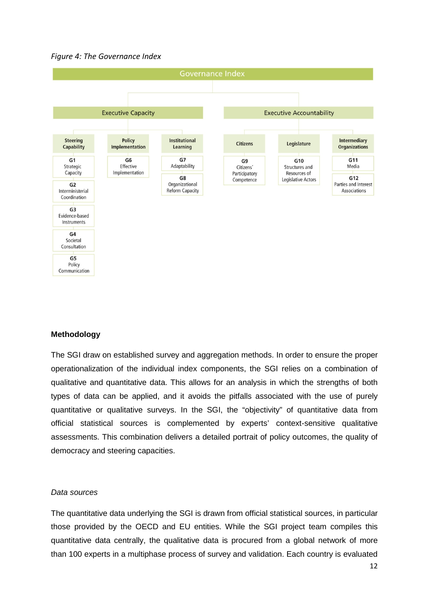



## **Methodology**

The SGI draw on established survey and aggregation methods. In order to ensure the proper operationalization of the individual index components, the SGI relies on a combination of qualitative and quantitative data. This allows for an analysis in which the strengths of both types of data can be applied, and it avoids the pitfalls associated with the use of purely quantitative or qualitative surveys. In the SGI, the "objectivity" of quantitative data from official statistical sources is complemented by experts' context-sensitive qualitative assessments. This combination delivers a detailed portrait of policy outcomes, the quality of democracy and steering capacities.

#### *Data sources*

The quantitative data underlying the SGI is drawn from official statistical sources, in particular those provided by the OECD and EU entities. While the SGI project team compiles this quantitative data centrally, the qualitative data is procured from a global network of more than 100 experts in a multiphase process of survey and validation. Each country is evaluated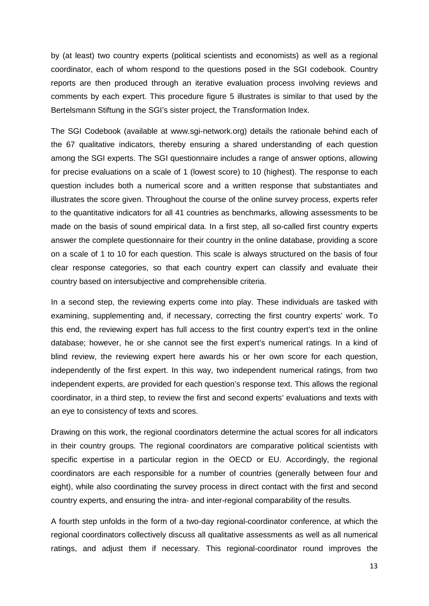by (at least) two country experts (political scientists and economists) as well as a regional coordinator, each of whom respond to the questions posed in the SGI codebook. Country reports are then produced through an iterative evaluation process involving reviews and comments by each expert. This procedure figure 5 illustrates is similar to that used by the Bertelsmann Stiftung in the SGI's sister project, the Transformation Index.

The SGI Codebook (available at www.sgi-network.org) details the rationale behind each of the 67 qualitative indicators, thereby ensuring a shared understanding of each question among the SGI experts. The SGI questionnaire includes a range of answer options, allowing for precise evaluations on a scale of 1 (lowest score) to 10 (highest). The response to each question includes both a numerical score and a written response that substantiates and illustrates the score given. Throughout the course of the online survey process, experts refer to the quantitative indicators for all 41 countries as benchmarks, allowing assessments to be made on the basis of sound empirical data. In a first step, all so-called first country experts answer the complete questionnaire for their country in the online database, providing a score on a scale of 1 to 10 for each question. This scale is always structured on the basis of four clear response categories, so that each country expert can classify and evaluate their country based on intersubjective and comprehensible criteria.

In a second step, the reviewing experts come into play. These individuals are tasked with examining, supplementing and, if necessary, correcting the first country experts' work. To this end, the reviewing expert has full access to the first country expert's text in the online database; however, he or she cannot see the first expert's numerical ratings. In a kind of blind review, the reviewing expert here awards his or her own score for each question, independently of the first expert. In this way, two independent numerical ratings, from two independent experts, are provided for each question's response text. This allows the regional coordinator, in a third step, to review the first and second experts' evaluations and texts with an eye to consistency of texts and scores.

Drawing on this work, the regional coordinators determine the actual scores for all indicators in their country groups. The regional coordinators are comparative political scientists with specific expertise in a particular region in the OECD or EU. Accordingly, the regional coordinators are each responsible for a number of countries (generally between four and eight), while also coordinating the survey process in direct contact with the first and second country experts, and ensuring the intra- and inter-regional comparability of the results.

A fourth step unfolds in the form of a two-day regional-coordinator conference, at which the regional coordinators collectively discuss all qualitative assessments as well as all numerical ratings, and adjust them if necessary. This regional-coordinator round improves the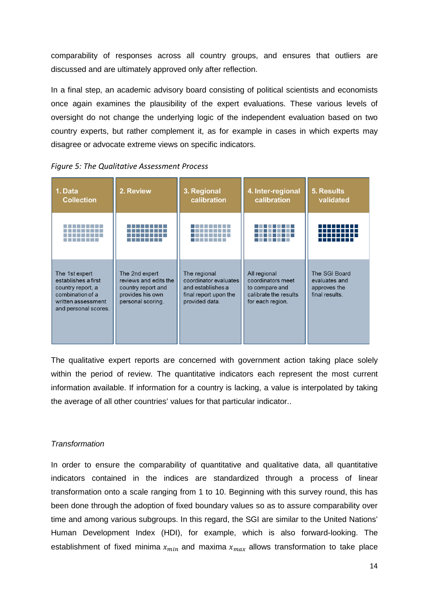comparability of responses across all country groups, and ensures that outliers are discussed and are ultimately approved only after reflection.

In a final step, an academic advisory board consisting of political scientists and economists once again examines the plausibility of the expert evaluations. These various levels of oversight do not change the underlying logic of the independent evaluation based on two country experts, but rather complement it, as for example in cases in which experts may disagree or advocate extreme views on specific indicators.

| 1. Data<br><b>Collection</b>                                                                                                 | 2. Review                                                                                              | 3. Regional<br>calibration                                                                            | 4. Inter-regional<br>calibration                                                                 | <b>5. Results</b><br>validated                                   |
|------------------------------------------------------------------------------------------------------------------------------|--------------------------------------------------------------------------------------------------------|-------------------------------------------------------------------------------------------------------|--------------------------------------------------------------------------------------------------|------------------------------------------------------------------|
|                                                                                                                              |                                                                                                        |                                                                                                       |                                                                                                  |                                                                  |
| The 1st expert<br>establishes a first<br>country report, a<br>combination of a<br>written assessment<br>and personal scores. | The 2nd expert<br>reviews and edits the<br>country report and<br>provides his own<br>personal scoring. | The regional<br>coordinator evaluates<br>and establishes a<br>final report upon the<br>provided data. | All regional<br>coordinators meet<br>to compare and<br>calibrate the results<br>for each region. | The SGI Board<br>evaluates and<br>approves the<br>final results. |

*Figure 5: The Qualitative Assessment Process*

The qualitative expert reports are concerned with government action taking place solely within the period of review. The quantitative indicators each represent the most current information available. If information for a country is lacking, a value is interpolated by taking the average of all other countries' values for that particular indicator..

## *Transformation*

In order to ensure the comparability of quantitative and qualitative data, all quantitative indicators contained in the indices are standardized through a process of linear transformation onto a scale ranging from 1 to 10. Beginning with this survey round, this has been done through the adoption of fixed boundary values so as to assure comparability over time and among various subgroups. In this regard, the SGI are similar to the United Nations' Human Development Index (HDI), for example, which is also forward-looking. The establishment of fixed minima  $x_{min}$  and maxima  $x_{max}$  allows transformation to take place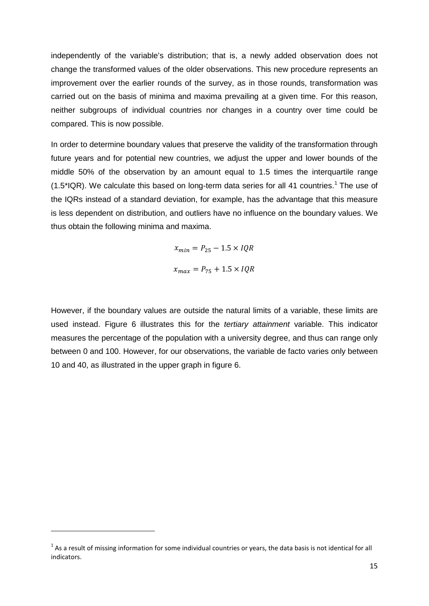independently of the variable's distribution; that is, a newly added observation does not change the transformed values of the older observations. This new procedure represents an improvement over the earlier rounds of the survey, as in those rounds, transformation was carried out on the basis of minima and maxima prevailing at a given time. For this reason, neither subgroups of individual countries nor changes in a country over time could be compared. This is now possible.

In order to determine boundary values that preserve the validity of the transformation through future years and for potential new countries, we adjust the upper and lower bounds of the middle 50% of the observation by an amount equal to 1.5 times the interquartile range  $(1.5^{\circ}IQR)$  $(1.5^{\circ}IQR)$  $(1.5^{\circ}IQR)$ . We calculate this based on long-term data series for all 41 countries.<sup>1</sup> The use of the IQRs instead of a standard deviation, for example, has the advantage that this measure is less dependent on distribution, and outliers have no influence on the boundary values. We thus obtain the following minima and maxima.

> $x_{min} = P_{25} - 1.5 \times IQR$  $x_{max} = P_{75} + 1.5 \times IQR$

However, if the boundary values are outside the natural limits of a variable, these limits are used instead. Figure 6 illustrates this for the *tertiary attainment* variable. This indicator measures the percentage of the population with a university degree, and thus can range only between 0 and 100. However, for our observations, the variable de facto varies only between 10 and 40, as illustrated in the upper graph in figure 6.

 $\overline{a}$ 

<span id="page-14-0"></span> $1$  As a result of missing information for some individual countries or years, the data basis is not identical for all indicators.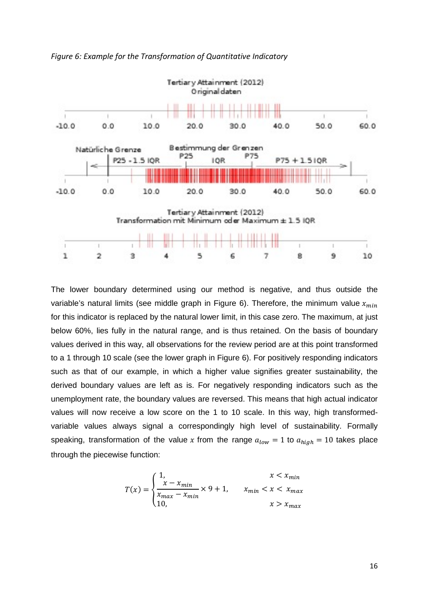

*Figure 6: Example for the Transformation of Quantitative Indicatory*

The lower boundary determined using our method is negative, and thus outside the variable's natural limits (see middle graph in Figure 6). Therefore, the minimum value  $x_{min}$ for this indicator is replaced by the natural lower limit, in this case zero. The maximum, at just below 60%, lies fully in the natural range, and is thus retained. On the basis of boundary values derived in this way, all observations for the review period are at this point transformed to a 1 through 10 scale (see the lower graph in Figure 6). For positively responding indicators such as that of our example, in which a higher value signifies greater sustainability, the derived boundary values are left as is. For negatively responding indicators such as the unemployment rate, the boundary values are reversed. This means that high actual indicator values will now receive a low score on the 1 to 10 scale. In this way, high transformedvariable values always signal a correspondingly high level of sustainability. Formally speaking, transformation of the value x from the range  $a_{low} = 1$  to  $a_{high} = 10$  takes place through the piecewise function:

$$
T(x) = \begin{cases} 1, & x < x_{min} \\ \frac{x - x_{min}}{x_{max} - x_{min}} \times 9 + 1, & x_{min} < x < x_{max} \\ 10, & x > x_{max} \end{cases}
$$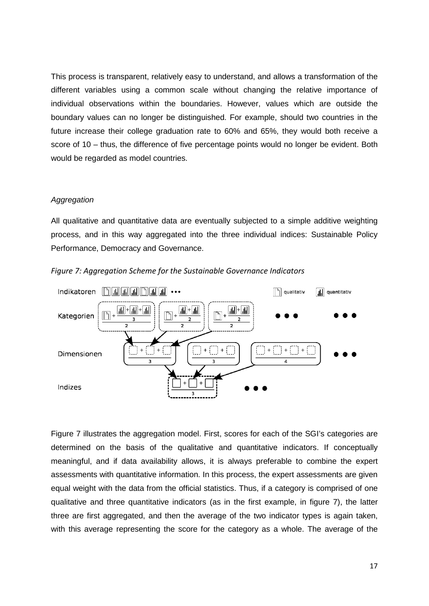This process is transparent, relatively easy to understand, and allows a transformation of the different variables using a common scale without changing the relative importance of individual observations within the boundaries. However, values which are outside the boundary values can no longer be distinguished. For example, should two countries in the future increase their college graduation rate to 60% and 65%, they would both receive a score of 10 – thus, the difference of five percentage points would no longer be evident. Both would be regarded as model countries.

#### *Aggregation*

All qualitative and quantitative data are eventually subjected to a simple additive weighting process, and in this way aggregated into the three individual indices: Sustainable Policy Performance, Democracy and Governance.



*Figure 7: Aggregation Scheme for the Sustainable Governance Indicators*

Figure 7 illustrates the aggregation model. First, scores for each of the SGI's categories are determined on the basis of the qualitative and quantitative indicators. If conceptually meaningful, and if data availability allows, it is always preferable to combine the expert assessments with quantitative information. In this process, the expert assessments are given equal weight with the data from the official statistics. Thus, if a category is comprised of one qualitative and three quantitative indicators (as in the first example, in figure 7), the latter three are first aggregated, and then the average of the two indicator types is again taken, with this average representing the score for the category as a whole. The average of the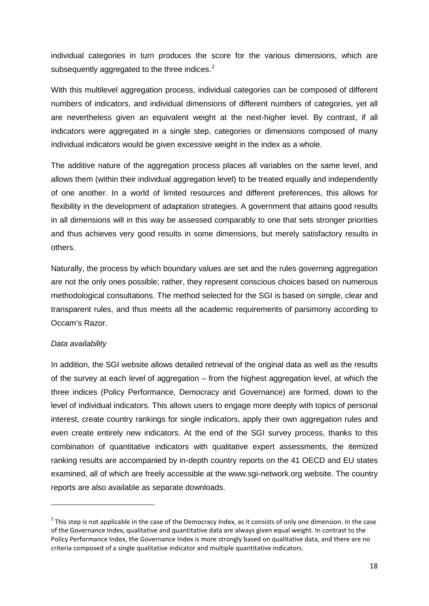individual categories in turn produces the score for the various dimensions, which are subsequently aggregated to the three indices.<sup>[2](#page-17-0)</sup>

With this multilevel aggregation process, individual categories can be composed of different numbers of indicators, and individual dimensions of different numbers of categories, yet all are nevertheless given an equivalent weight at the next-higher level. By contrast, if all indicators were aggregated in a single step, categories or dimensions composed of many individual indicators would be given excessive weight in the index as a whole.

The additive nature of the aggregation process places all variables on the same level, and allows them (within their individual aggregation level) to be treated equally and independently of one another. In a world of limited resources and different preferences, this allows for flexibility in the development of adaptation strategies. A government that attains good results in all dimensions will in this way be assessed comparably to one that sets stronger priorities and thus achieves very good results in some dimensions, but merely satisfactory results in others.

Naturally, the process by which boundary values are set and the rules governing aggregation are not the only ones possible; rather, they represent conscious choices based on numerous methodological consultations. The method selected for the SGI is based on simple, clear and transparent rules, and thus meets all the academic requirements of parsimony according to Occam's Razor.

## *Data availability*

 $\overline{a}$ 

In addition, the SGI website allows detailed retrieval of the original data as well as the results of the survey at each level of aggregation – from the highest aggregation level, at which the three indices (Policy Performance, Democracy and Governance) are formed, down to the level of individual indicators. This allows users to engage more deeply with topics of personal interest, create country rankings for single indicators, apply their own aggregation rules and even create entirely new indicators. At the end of the SGI survey process, thanks to this combination of quantitative indicators with qualitative expert assessments, the itemized ranking results are accompanied by in-depth country reports on the 41 OECD and EU states examined, all of which are freely accessible at the www.sgi-network.org website. The country reports are also available as separate downloads.

<span id="page-17-0"></span> $2$  This step is not applicable in the case of the Democracy Index, as it consists of only one dimension. In the case of the Governance Index, qualitative and quantitative data are always given equal weight. In contrast to the Policy Performance Index, the Governance Index is more strongly based on qualitative data, and there are no criteria composed of a single qualitative indicator and multiple quantitative indicators.